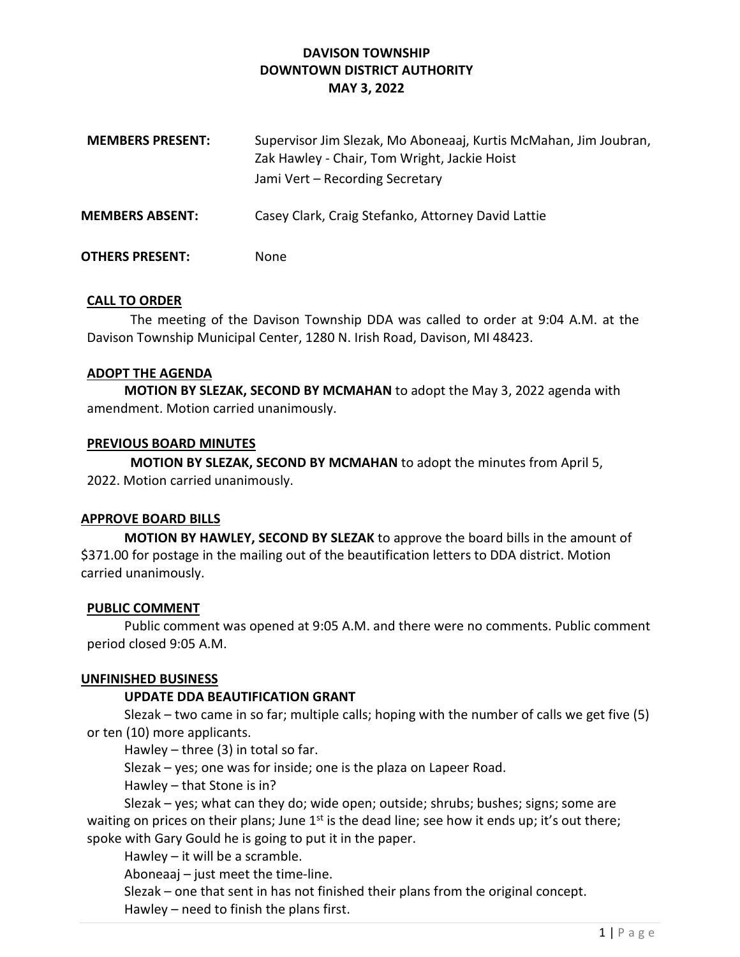# DAVISON TOWNSHIP DOWNTOWN DISTRICT AUTHORITY MAY 3, 2022

| <b>MEMBERS PRESENT:</b> | Supervisor Jim Slezak, Mo Aboneaaj, Kurtis McMahan, Jim Joubran,<br>Zak Hawley - Chair, Tom Wright, Jackie Hoist<br>Jami Vert - Recording Secretary |
|-------------------------|-----------------------------------------------------------------------------------------------------------------------------------------------------|
| <b>MEMBERS ABSENT:</b>  | Casey Clark, Craig Stefanko, Attorney David Lattie                                                                                                  |
| <b>OTHERS PRESENT:</b>  | <b>None</b>                                                                                                                                         |

## CALL TO ORDER

The meeting of the Davison Township DDA was called to order at 9:04 A.M. at the Davison Township Municipal Center, 1280 N. Irish Road, Davison, MI 48423.

### ADOPT THE AGENDA

MOTION BY SLEZAK, SECOND BY MCMAHAN to adopt the May 3, 2022 agenda with amendment. Motion carried unanimously.

### PREVIOUS BOARD MINUTES

MOTION BY SLEZAK, SECOND BY MCMAHAN to adopt the minutes from April 5, 2022. Motion carried unanimously.

### APPROVE BOARD BILLS

 MOTION BY HAWLEY, SECOND BY SLEZAK to approve the board bills in the amount of \$371.00 for postage in the mailing out of the beautification letters to DDA district. Motion carried unanimously.

### PUBLIC COMMENT

 Public comment was opened at 9:05 A.M. and there were no comments. Public comment period closed 9:05 A.M.

### UNFINISHED BUSINESS

## UPDATE DDA BEAUTIFICATION GRANT

 Slezak – two came in so far; multiple calls; hoping with the number of calls we get five (5) or ten (10) more applicants.

Hawley – three  $(3)$  in total so far.

Slezak – yes; one was for inside; one is the plaza on Lapeer Road.

Hawley – that Stone is in?

 Slezak – yes; what can they do; wide open; outside; shrubs; bushes; signs; some are waiting on prices on their plans; June  $1<sup>st</sup>$  is the dead line; see how it ends up; it's out there; spoke with Gary Gould he is going to put it in the paper.

Hawley – it will be a scramble.

Aboneaaj – just meet the time-line.

 Slezak – one that sent in has not finished their plans from the original concept. Hawley – need to finish the plans first.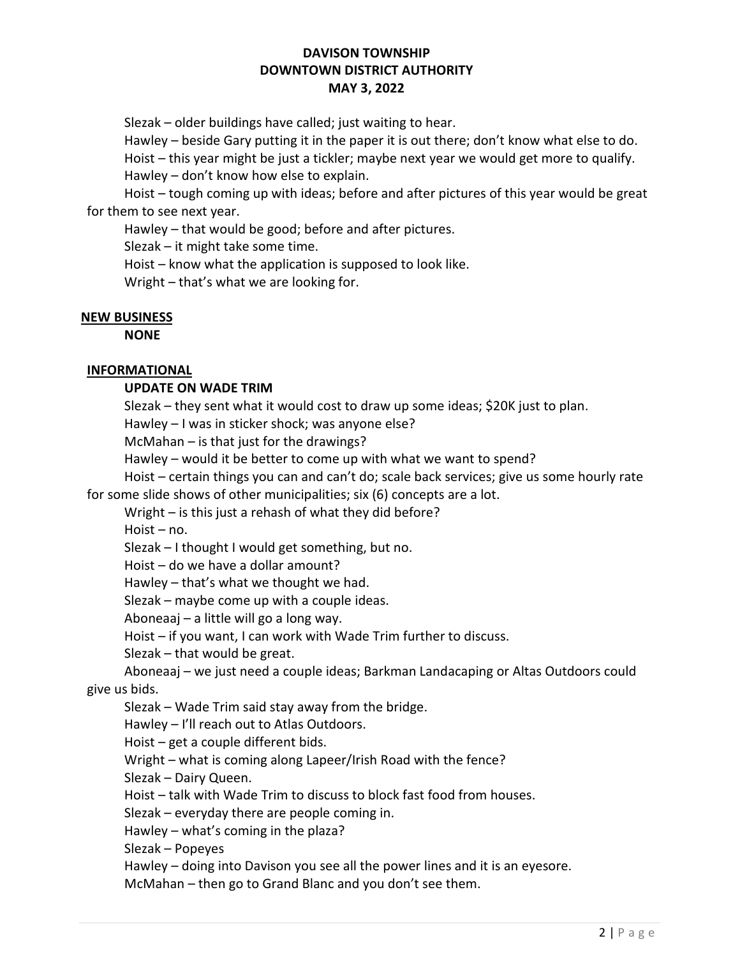# DAVISON TOWNSHIP DOWNTOWN DISTRICT AUTHORITY MAY 3, 2022

Slezak – older buildings have called; just waiting to hear.

Hawley – beside Gary putting it in the paper it is out there; don't know what else to do.

 Hoist – this year might be just a tickler; maybe next year we would get more to qualify. Hawley – don't know how else to explain.

 Hoist – tough coming up with ideas; before and after pictures of this year would be great for them to see next year.

Hawley – that would be good; before and after pictures.

Slezak – it might take some time.

Hoist – know what the application is supposed to look like.

Wright – that's what we are looking for.

### NEW BUSINESS

**NONE** 

## INFORMATIONAL

## UPDATE ON WADE TRIM

Slezak – they sent what it would cost to draw up some ideas; \$20K just to plan.

Hawley – I was in sticker shock; was anyone else?

McMahan – is that just for the drawings?

Hawley – would it be better to come up with what we want to spend?

Hoist – certain things you can and can't do; scale back services; give us some hourly rate

for some slide shows of other municipalities; six (6) concepts are a lot.

Wright – is this just a rehash of what they did before?

Hoist – no.

Slezak – I thought I would get something, but no.

Hoist – do we have a dollar amount?

Hawley – that's what we thought we had.

Slezak – maybe come up with a couple ideas.

Aboneaaj – a little will go a long way.

Hoist – if you want, I can work with Wade Trim further to discuss.

Slezak – that would be great.

 Aboneaaj – we just need a couple ideas; Barkman Landacaping or Altas Outdoors could give us bids.

Slezak – Wade Trim said stay away from the bridge.

Hawley – I'll reach out to Atlas Outdoors.

Hoist – get a couple different bids.

Wright – what is coming along Lapeer/Irish Road with the fence?

Slezak – Dairy Queen.

Hoist – talk with Wade Trim to discuss to block fast food from houses.

Slezak – everyday there are people coming in.

Hawley – what's coming in the plaza?

Slezak – Popeyes

Hawley – doing into Davison you see all the power lines and it is an eyesore.

McMahan – then go to Grand Blanc and you don't see them.